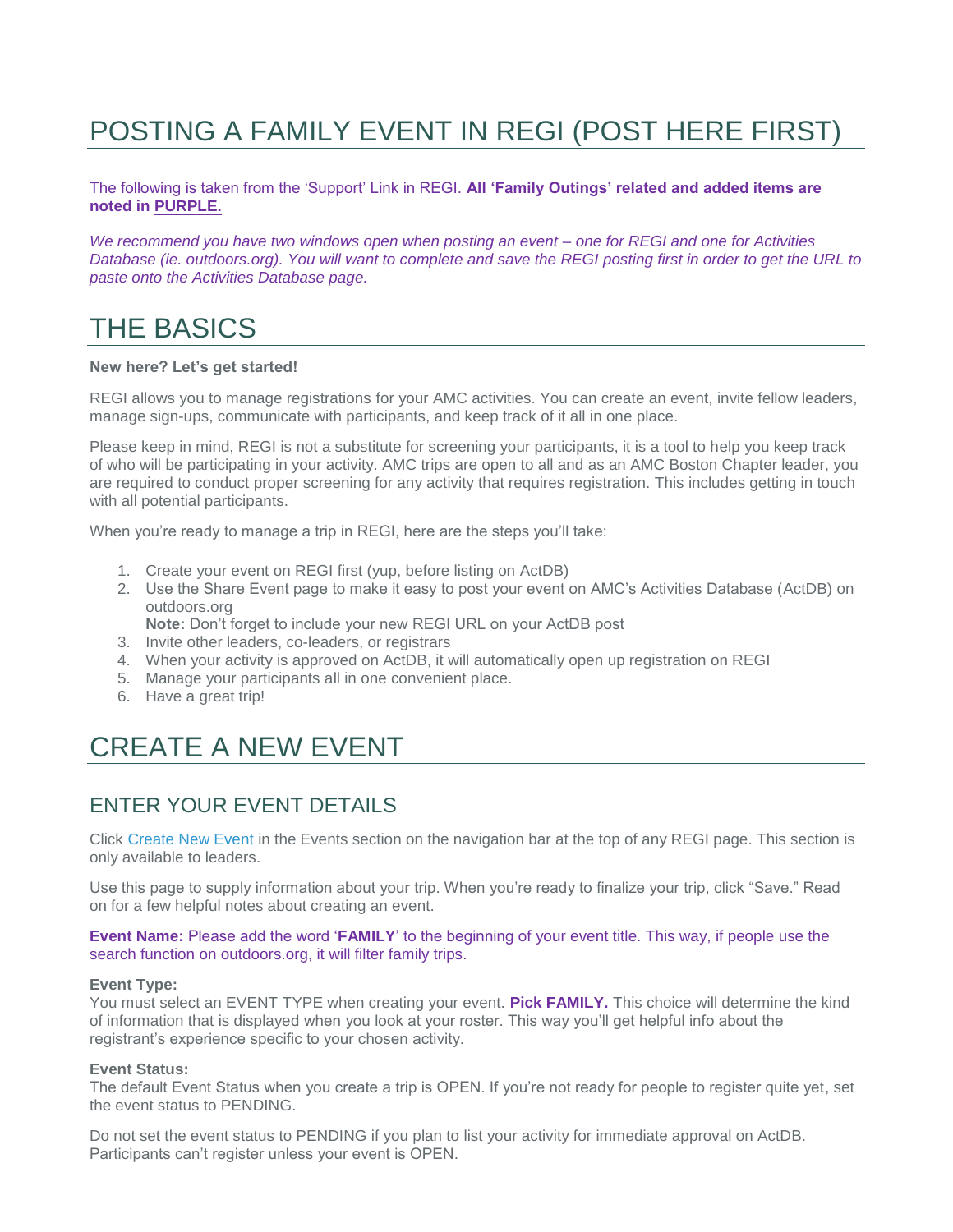# POSTING A FAMILY EVENT IN REGI (POST HERE FIRST)

#### The following is taken from the 'Support' Link in REGI. **All 'Family Outings' related and added items are noted in PURPLE.**

*We recommend you have two windows open when posting an event – one for REGI and one for Activities Database (ie. outdoors.org). You will want to complete and save the REGI posting first in order to get the URL to paste onto the Activities Database page.*

## THE BASICS

#### **New here? Let's get started!**

REGI allows you to manage registrations for your AMC activities. You can create an event, invite fellow leaders, manage sign-ups, communicate with participants, and keep track of it all in one place.

Please keep in mind, REGI is not a substitute for screening your participants, it is a tool to help you keep track of who will be participating in your activity. AMC trips are open to all and as an AMC Boston Chapter leader, you are required to conduct proper screening for any activity that requires registration. This includes getting in touch with all potential participants.

When you're ready to manage a trip in REGI, here are the steps you'll take:

- 1. Create your event on REGI first (yup, before listing on ActDB)
- 2. Use the Share Event page to make it easy to post your event on AMC's Activities Database (ActDB) on outdoors.org

**Note:** Don't forget to include your new REGI URL on your ActDB post

- 3. Invite other leaders, co-leaders, or registrars
- 4. When your activity is approved on ActDB, it will automatically open up registration on REGI
- 5. Manage your participants all in one convenient place.
- 6. Have a great trip!

## CREATE A NEW EVENT

### ENTER YOUR EVENT DETAILS

Click [Create New Event](https://regi.amcboston.org/event/new) in the Events section on the navigation bar at the top of any REGI page. This section is only available to leaders.

Use this page to supply information about your trip. When you're ready to finalize your trip, click "Save." Read on for a few helpful notes about creating an event.

#### **Event Name:** Please add the word '**FAMILY**' to the beginning of your event title. This way, if people use the search function on outdoors.org, it will filter family trips.

#### **Event Type:**

You must select an EVENT TYPE when creating your event. **Pick FAMILY.** This choice will determine the kind of information that is displayed when you look at your roster. This way you'll get helpful info about the registrant's experience specific to your chosen activity.

#### **Event Status:**

The default Event Status when you create a trip is OPEN. If you're not ready for people to register quite yet, set the event status to PENDING.

Do not set the event status to PENDING if you plan to list your activity for immediate approval on ActDB. Participants can't register unless your event is OPEN.